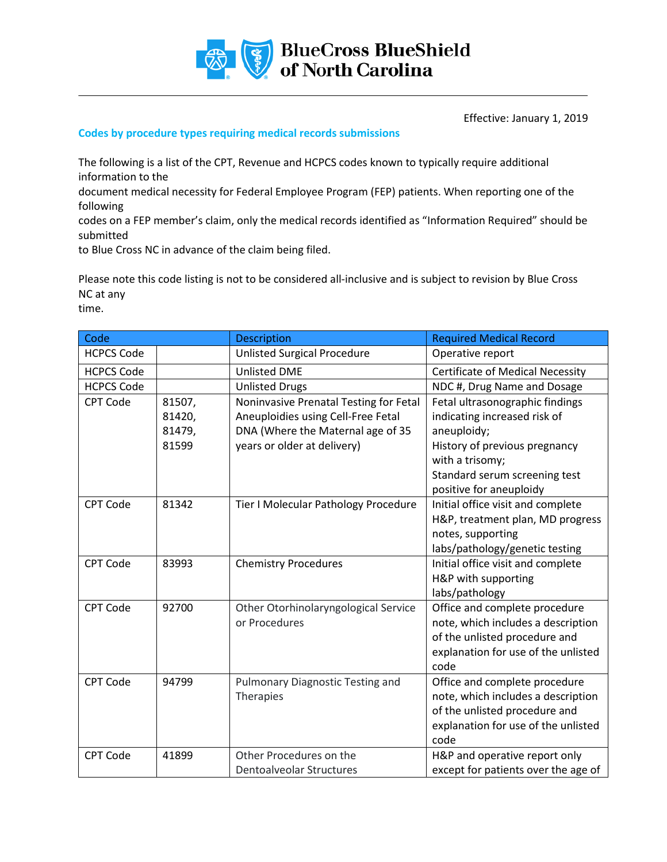

Effective: January 1, 2019

## **Codes by procedure types requiring medical records submissions**

The following is a list of the CPT, Revenue and HCPCS codes known to typically require additional information to the

document medical necessity for Federal Employee Program (FEP) patients. When reporting one of the following

codes on a FEP member's claim, only the medical records identified as "Information Required" should be submitted

to Blue Cross NC in advance of the claim being filed.

Please note this code listing is not to be considered all-inclusive and is subject to revision by Blue Cross NC at any

time.

| Code              |        | <b>Description</b>                      | <b>Required Medical Record</b>          |
|-------------------|--------|-----------------------------------------|-----------------------------------------|
| <b>HCPCS Code</b> |        | <b>Unlisted Surgical Procedure</b>      | Operative report                        |
| <b>HCPCS Code</b> |        | <b>Unlisted DME</b>                     | <b>Certificate of Medical Necessity</b> |
| <b>HCPCS Code</b> |        | <b>Unlisted Drugs</b>                   | NDC #, Drug Name and Dosage             |
| <b>CPT Code</b>   | 81507, | Noninvasive Prenatal Testing for Fetal  | Fetal ultrasonographic findings         |
|                   | 81420, | Aneuploidies using Cell-Free Fetal      | indicating increased risk of            |
|                   | 81479, | DNA (Where the Maternal age of 35       | aneuploidy;                             |
|                   | 81599  | years or older at delivery)             | History of previous pregnancy           |
|                   |        |                                         | with a trisomy;                         |
|                   |        |                                         | Standard serum screening test           |
|                   |        |                                         | positive for aneuploidy                 |
| <b>CPT Code</b>   | 81342  | Tier I Molecular Pathology Procedure    | Initial office visit and complete       |
|                   |        |                                         | H&P, treatment plan, MD progress        |
|                   |        |                                         | notes, supporting                       |
|                   |        |                                         | labs/pathology/genetic testing          |
| <b>CPT Code</b>   | 83993  | <b>Chemistry Procedures</b>             | Initial office visit and complete       |
|                   |        |                                         | H&P with supporting                     |
|                   |        |                                         | labs/pathology                          |
| <b>CPT Code</b>   | 92700  | Other Otorhinolaryngological Service    | Office and complete procedure           |
|                   |        | or Procedures                           | note, which includes a description      |
|                   |        |                                         | of the unlisted procedure and           |
|                   |        |                                         | explanation for use of the unlisted     |
|                   |        |                                         | code                                    |
| <b>CPT Code</b>   | 94799  | <b>Pulmonary Diagnostic Testing and</b> | Office and complete procedure           |
|                   |        | Therapies                               | note, which includes a description      |
|                   |        |                                         | of the unlisted procedure and           |
|                   |        |                                         | explanation for use of the unlisted     |
|                   |        |                                         | code                                    |
| <b>CPT Code</b>   | 41899  | Other Procedures on the                 | H&P and operative report only           |
|                   |        | <b>Dentoalveolar Structures</b>         | except for patients over the age of     |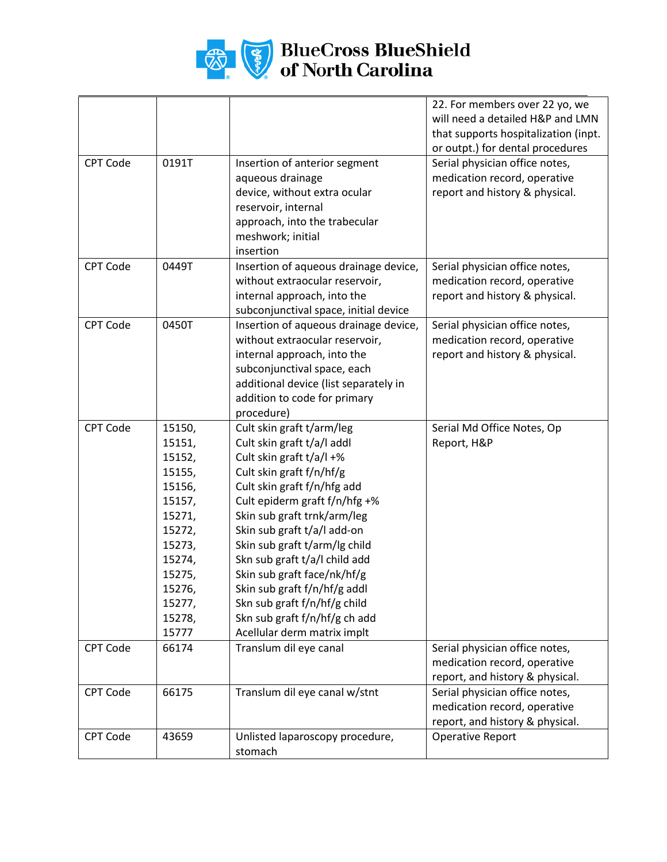

## **BlueCross BlueShield**<br>of North Carolina

|                 |        |                                       | 22. For members over 22 yo, we       |
|-----------------|--------|---------------------------------------|--------------------------------------|
|                 |        |                                       | will need a detailed H&P and LMN     |
|                 |        |                                       | that supports hospitalization (inpt. |
|                 |        |                                       | or outpt.) for dental procedures     |
| <b>CPT Code</b> | 0191T  | Insertion of anterior segment         | Serial physician office notes,       |
|                 |        | aqueous drainage                      | medication record, operative         |
|                 |        | device, without extra ocular          | report and history & physical.       |
|                 |        | reservoir, internal                   |                                      |
|                 |        | approach, into the trabecular         |                                      |
|                 |        | meshwork; initial                     |                                      |
|                 |        | insertion                             |                                      |
| <b>CPT Code</b> | 0449T  | Insertion of aqueous drainage device, | Serial physician office notes,       |
|                 |        | without extraocular reservoir,        | medication record, operative         |
|                 |        | internal approach, into the           | report and history & physical.       |
|                 |        | subconjunctival space, initial device |                                      |
| <b>CPT Code</b> | 0450T  | Insertion of aqueous drainage device, | Serial physician office notes,       |
|                 |        | without extraocular reservoir,        | medication record, operative         |
|                 |        | internal approach, into the           | report and history & physical.       |
|                 |        | subconjunctival space, each           |                                      |
|                 |        | additional device (list separately in |                                      |
|                 |        | addition to code for primary          |                                      |
|                 |        | procedure)                            |                                      |
| CPT Code        | 15150, | Cult skin graft t/arm/leg             | Serial Md Office Notes, Op           |
|                 | 15151, | Cult skin graft t/a/l addl            | Report, H&P                          |
|                 | 15152, | Cult skin graft t/a/l +%              |                                      |
|                 | 15155, | Cult skin graft f/n/hf/g              |                                      |
|                 | 15156, | Cult skin graft f/n/hfg add           |                                      |
|                 | 15157, | Cult epiderm graft f/n/hfg +%         |                                      |
|                 | 15271, | Skin sub graft trnk/arm/leg           |                                      |
|                 | 15272, | Skin sub graft t/a/l add-on           |                                      |
|                 | 15273, | Skin sub graft t/arm/lg child         |                                      |
|                 | 15274, | Skn sub graft t/a/l child add         |                                      |
|                 | 15275, | Skin sub graft face/nk/hf/g           |                                      |
|                 | 15276, | Skin sub graft f/n/hf/g addl          |                                      |
|                 | 15277, | Skn sub graft f/n/hf/g child          |                                      |
|                 | 15278, | Skn sub graft f/n/hf/g ch add         |                                      |
|                 | 15777  | Acellular derm matrix implt           |                                      |
| CPT Code        | 66174  | Translum dil eye canal                | Serial physician office notes,       |
|                 |        |                                       | medication record, operative         |
|                 |        |                                       | report, and history & physical.      |
| <b>CPT Code</b> | 66175  | Translum dil eye canal w/stnt         | Serial physician office notes,       |
|                 |        |                                       | medication record, operative         |
|                 |        |                                       | report, and history & physical.      |
| <b>CPT Code</b> | 43659  | Unlisted laparoscopy procedure,       | <b>Operative Report</b>              |
|                 |        | stomach                               |                                      |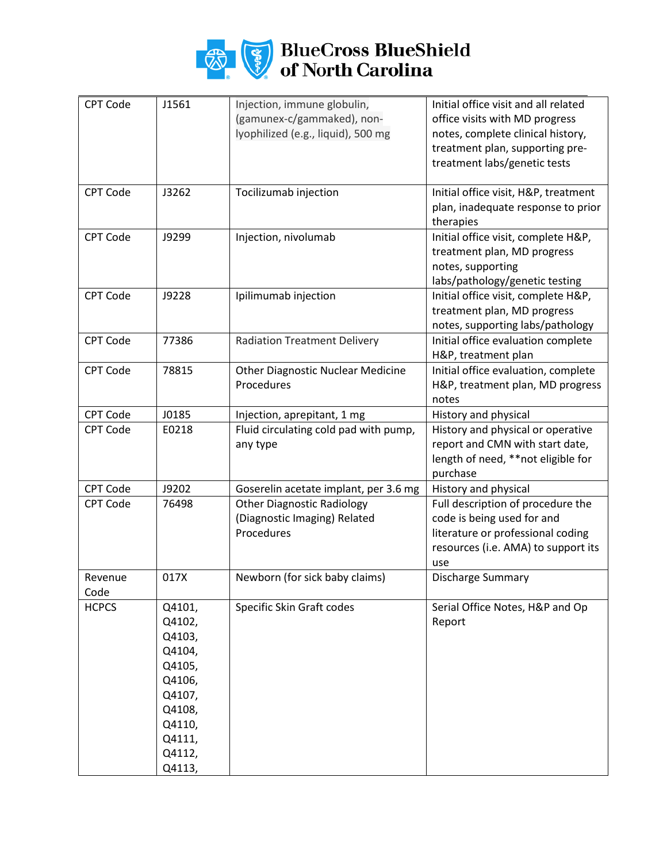

## **BlueCross BlueShield**<br>of North Carolina

| <b>CPT Code</b> | J1561  | Injection, immune globulin,              | Initial office visit and all related |
|-----------------|--------|------------------------------------------|--------------------------------------|
|                 |        | (gamunex-c/gammaked), non-               |                                      |
|                 |        |                                          | office visits with MD progress       |
|                 |        | lyophilized (e.g., liquid), 500 mg       | notes, complete clinical history,    |
|                 |        |                                          | treatment plan, supporting pre-      |
|                 |        |                                          | treatment labs/genetic tests         |
| CPT Code        | J3262  | Tocilizumab injection                    | Initial office visit, H&P, treatment |
|                 |        |                                          | plan, inadequate response to prior   |
|                 |        |                                          | therapies                            |
| <b>CPT Code</b> | J9299  | Injection, nivolumab                     | Initial office visit, complete H&P,  |
|                 |        |                                          | treatment plan, MD progress          |
|                 |        |                                          | notes, supporting                    |
|                 |        |                                          | labs/pathology/genetic testing       |
| <b>CPT Code</b> | J9228  | Ipilimumab injection                     | Initial office visit, complete H&P,  |
|                 |        |                                          | treatment plan, MD progress          |
|                 |        |                                          | notes, supporting labs/pathology     |
| <b>CPT Code</b> | 77386  | <b>Radiation Treatment Delivery</b>      | Initial office evaluation complete   |
|                 |        |                                          | H&P, treatment plan                  |
| <b>CPT Code</b> | 78815  | <b>Other Diagnostic Nuclear Medicine</b> | Initial office evaluation, complete  |
|                 |        | Procedures                               | H&P, treatment plan, MD progress     |
|                 |        |                                          | notes                                |
| CPT Code        | J0185  | Injection, aprepitant, 1 mg              | History and physical                 |
| <b>CPT Code</b> | E0218  | Fluid circulating cold pad with pump,    | History and physical or operative    |
|                 |        | any type                                 | report and CMN with start date,      |
|                 |        |                                          | length of need, **not eligible for   |
|                 |        |                                          | purchase                             |
| <b>CPT Code</b> | J9202  | Goserelin acetate implant, per 3.6 mg    | History and physical                 |
| <b>CPT Code</b> | 76498  | <b>Other Diagnostic Radiology</b>        | Full description of procedure the    |
|                 |        | (Diagnostic Imaging) Related             | code is being used for and           |
|                 |        | Procedures                               | literature or professional coding    |
|                 |        |                                          | resources (i.e. AMA) to support its  |
|                 |        |                                          | use                                  |
| Revenue         | 017X   | Newborn (for sick baby claims)           | Discharge Summary                    |
| Code            |        |                                          |                                      |
| <b>HCPCS</b>    | Q4101, | Specific Skin Graft codes                | Serial Office Notes, H&P and Op      |
|                 | Q4102, |                                          | Report                               |
|                 | Q4103, |                                          |                                      |
|                 | Q4104, |                                          |                                      |
|                 | Q4105, |                                          |                                      |
|                 | Q4106, |                                          |                                      |
|                 | Q4107, |                                          |                                      |
|                 | Q4108, |                                          |                                      |
|                 | Q4110, |                                          |                                      |
|                 | Q4111, |                                          |                                      |
|                 | Q4112, |                                          |                                      |
|                 | Q4113, |                                          |                                      |
|                 |        |                                          |                                      |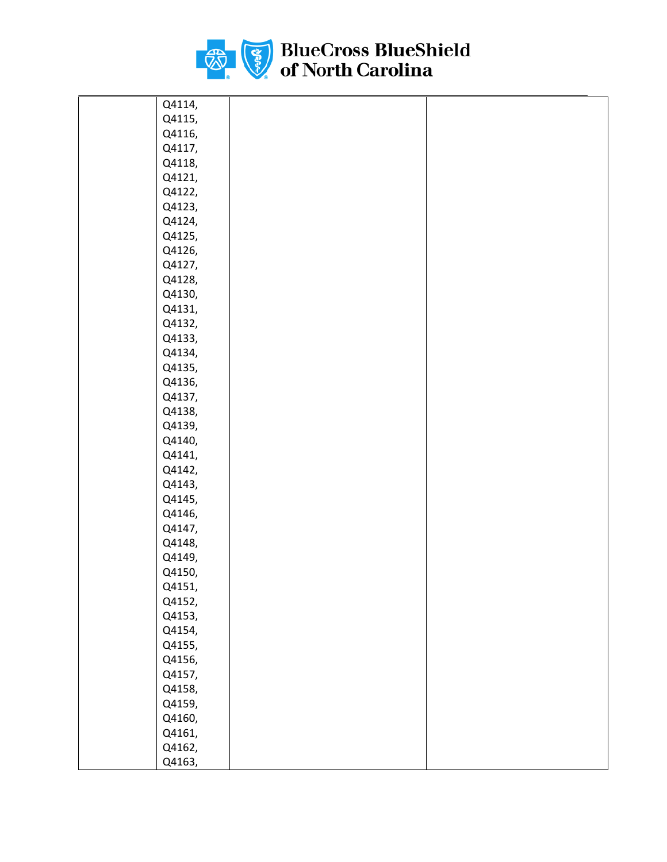

| Q4114, |  |
|--------|--|
| Q4115, |  |
| Q4116, |  |
| Q4117, |  |
| Q4118, |  |
| Q4121, |  |
| Q4122, |  |
| Q4123, |  |
| Q4124, |  |
| Q4125, |  |
| Q4126, |  |
| Q4127, |  |
| Q4128, |  |
| Q4130, |  |
| Q4131, |  |
| Q4132, |  |
| Q4133, |  |
| Q4134, |  |
| Q4135, |  |
| Q4136, |  |
| Q4137, |  |
| Q4138, |  |
| Q4139, |  |
| Q4140, |  |
| Q4141, |  |
| Q4142, |  |
| Q4143, |  |
| Q4145, |  |
| Q4146, |  |
| Q4147, |  |
| Q4148, |  |
| Q4149, |  |
| Q4150, |  |
| Q4151, |  |
| Q4152, |  |
| Q4153, |  |
| Q4154, |  |
| Q4155, |  |
| Q4156, |  |
| Q4157, |  |
| Q4158, |  |
| Q4159, |  |
| Q4160, |  |
| Q4161, |  |
| Q4162, |  |
| Q4163, |  |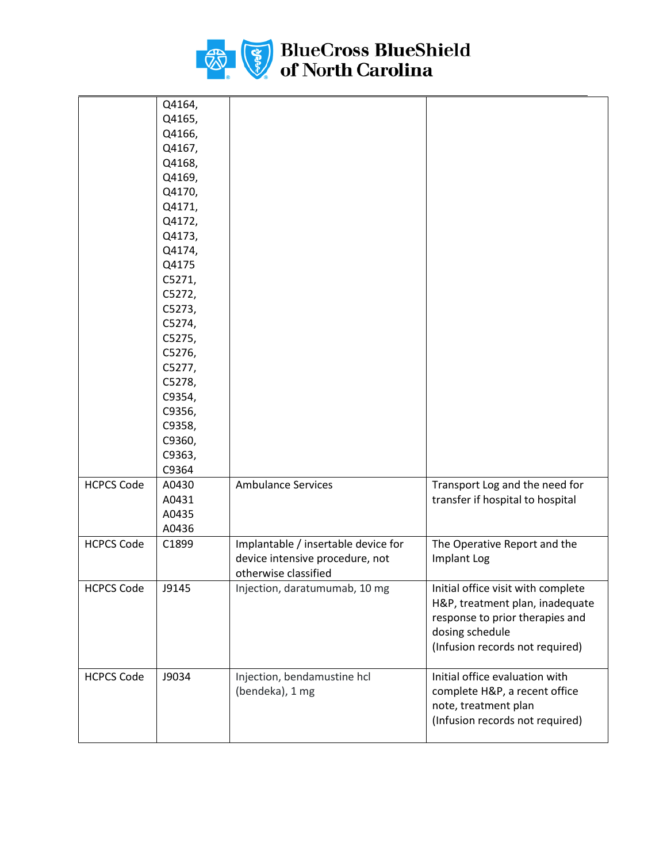

|                   | Q4164, |                                     |                                    |
|-------------------|--------|-------------------------------------|------------------------------------|
|                   | Q4165, |                                     |                                    |
|                   | Q4166, |                                     |                                    |
|                   | Q4167, |                                     |                                    |
|                   | Q4168, |                                     |                                    |
|                   | Q4169, |                                     |                                    |
|                   | Q4170, |                                     |                                    |
|                   | Q4171, |                                     |                                    |
|                   | Q4172, |                                     |                                    |
|                   | Q4173, |                                     |                                    |
|                   | Q4174, |                                     |                                    |
|                   | Q4175  |                                     |                                    |
|                   | C5271, |                                     |                                    |
|                   | C5272, |                                     |                                    |
|                   | C5273, |                                     |                                    |
|                   | C5274, |                                     |                                    |
|                   | C5275, |                                     |                                    |
|                   | C5276, |                                     |                                    |
|                   | C5277, |                                     |                                    |
|                   | C5278, |                                     |                                    |
|                   | C9354, |                                     |                                    |
|                   | C9356, |                                     |                                    |
|                   | C9358, |                                     |                                    |
|                   | C9360, |                                     |                                    |
|                   | C9363, |                                     |                                    |
|                   | C9364  |                                     |                                    |
| <b>HCPCS Code</b> | A0430  | <b>Ambulance Services</b>           | Transport Log and the need for     |
|                   | A0431  |                                     | transfer if hospital to hospital   |
|                   | A0435  |                                     |                                    |
|                   |        |                                     |                                    |
|                   | A0436  |                                     |                                    |
| <b>HCPCS Code</b> | C1899  | Implantable / insertable device for | The Operative Report and the       |
|                   |        | device intensive procedure, not     | Implant Log                        |
|                   |        | otherwise classified                |                                    |
| <b>HCPCS Code</b> | J9145  | Injection, daratumumab, 10 mg       | Initial office visit with complete |
|                   |        |                                     | H&P, treatment plan, inadequate    |
|                   |        |                                     | response to prior therapies and    |
|                   |        |                                     | dosing schedule                    |
|                   |        |                                     | (Infusion records not required)    |
| <b>HCPCS Code</b> | J9034  | Injection, bendamustine hcl         | Initial office evaluation with     |
|                   |        | (bendeka), 1 mg                     | complete H&P, a recent office      |
|                   |        |                                     | note, treatment plan               |
|                   |        |                                     | (Infusion records not required)    |
|                   |        |                                     |                                    |